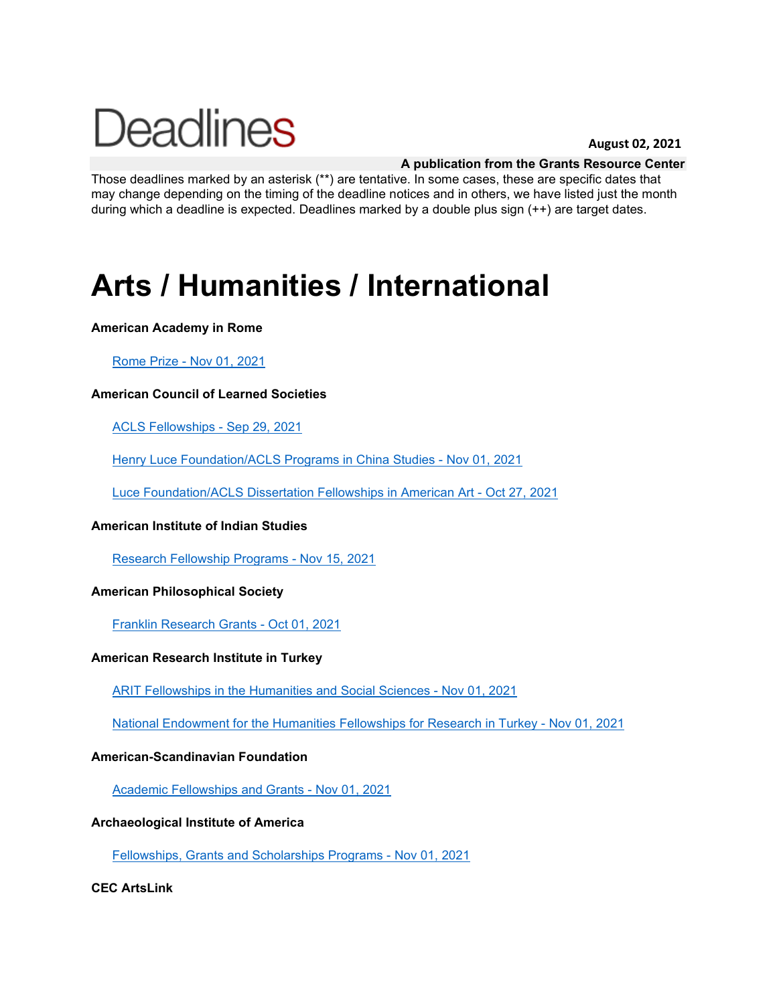# **Deadlines**

#### **August 02, 2021**

#### **A publication from the Grants Resource Center**

Those deadlines marked by an asterisk (\*\*) are tentative. In some cases, these are specific dates that may change depending on the timing of the deadline notices and in others, we have listed just the month during which a deadline is expected. Deadlines marked by a double plus sign (++) are target dates.

### **Arts / Humanities / International**

#### **American Academy in Rome**

#### [Rome Prize -](http://www.aascu.org/grc/gs/print.aspx?rec=9) Nov 01, 2021

#### **American Council of Learned Societies**

[ACLS Fellowships -](http://www.aascu.org/grc/gs/print.aspx?rec=1457) Sep 29, 2021

[Henry Luce Foundation/ACLS Programs in China Studies -](http://www.aascu.org/grc/gs/print.aspx?rec=6) Nov 01, 2021

[Luce Foundation/ACLS Dissertation Fellowships in American Art -](http://www.aascu.org/grc/gs/print.aspx?rec=915) Oct 27, 2021

#### **American Institute of Indian Studies**

[Research Fellowship Programs -](http://www.aascu.org/grc/gs/print.aspx?rec=8) Nov 15, 2021

#### **American Philosophical Society**

[Franklin Research Grants -](http://www.aascu.org/grc/gs/print.aspx?rec=30) Oct 01, 2021

#### **American Research Institute in Turkey**

[ARIT Fellowships in the Humanities and Social](http://www.aascu.org/grc/gs/print.aspx?rec=3359) Sciences - Nov 01, 2021

[National Endowment for the Humanities Fellowships for Research in Turkey -](http://www.aascu.org/grc/gs/print.aspx?rec=3358) Nov 01, 2021

#### **American-Scandinavian Foundation**

[Academic Fellowships and Grants -](http://www.aascu.org/grc/gs/print.aspx?rec=10) Nov 01, 2021

#### **Archaeological Institute of America**

[Fellowships, Grants and Scholarships Programs -](http://www.aascu.org/grc/gs/print.aspx?rec=770) Nov 01, 2021

#### **CEC ArtsLink**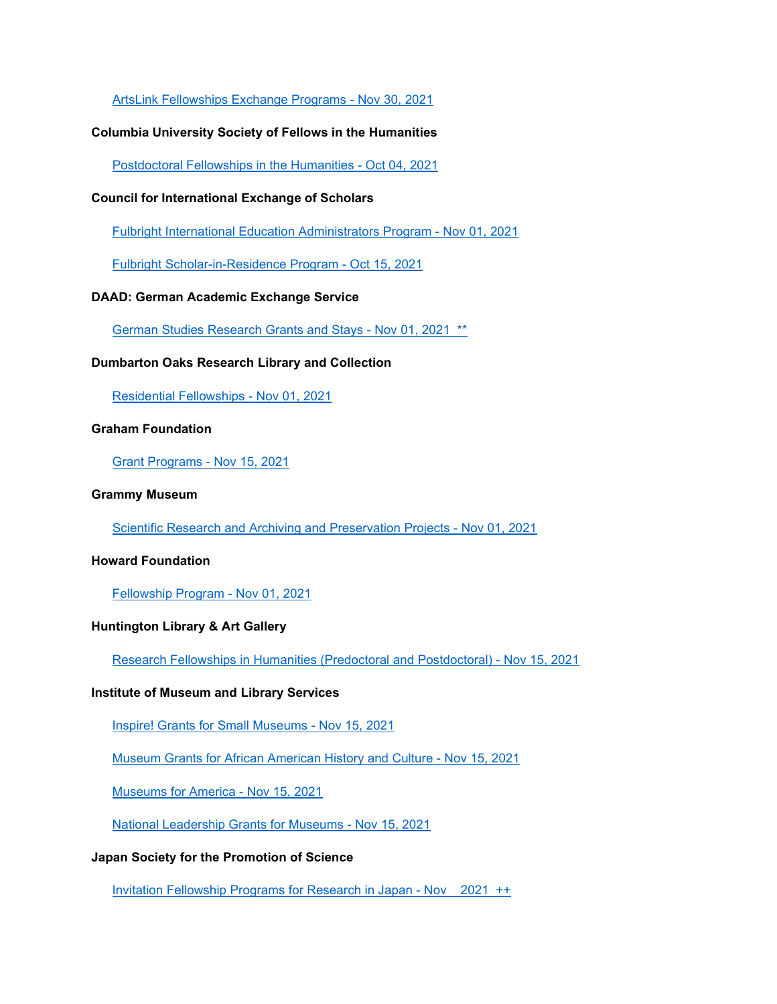[ArtsLink Fellowships Exchange Programs -](http://www.aascu.org/grc/gs/print.aspx?rec=639) Nov 30, 2021

#### **Columbia University Society of Fellows in the Humanities**

[Postdoctoral Fellowships in the Humanities -](http://www.aascu.org/grc/gs/print.aspx?rec=219) Oct 04, 2021

#### **Council for International Exchange of Scholars**

[Fulbright International Education Administrators Program -](http://www.aascu.org/grc/gs/print.aspx?rec=13) Nov 01, 2021

[Fulbright Scholar-in-Residence Program -](http://www.aascu.org/grc/gs/print.aspx?rec=1722) Oct 15, 2021

#### **DAAD: German Academic Exchange Service**

[German Studies Research Grants and Stays -](http://www.aascu.org/grc/gs/print.aspx?rec=723) Nov 01, 2021 \*\*

#### **Dumbarton Oaks Research Library and Collection**

[Residential Fellowships -](http://www.aascu.org/grc/gs/print.aspx?rec=240) Nov 01, 2021

#### **Graham Foundation**

[Grant Programs -](http://www.aascu.org/grc/gs/print.aspx?rec=673) Nov 15, 2021

#### **Grammy Museum**

[Scientific Research and Archiving and Preservation Projects -](http://www.aascu.org/grc/gs/print.aspx?rec=1743) Nov 01, 2021

#### **Howard Foundation**

[Fellowship Program -](http://www.aascu.org/grc/gs/print.aspx?rec=97) Nov 01, 2021

#### **Huntington Library & Art Gallery**

[Research Fellowships in Humanities \(Predoctoral and Postdoctoral\) -](http://www.aascu.org/grc/gs/print.aspx?rec=263) Nov 15, 2021

#### **Institute of Museum and Library Services**

[Inspire! Grants for Small Museums -](http://www.aascu.org/grc/gs/print.aspx?rec=3553) Nov 15, 2021

[Museum Grants for African American History and Culture -](http://www.aascu.org/grc/gs/print.aspx?rec=2070) Nov 15, 2021

[Museums for America -](http://www.aascu.org/grc/gs/print.aspx?rec=287) Nov 15, 2021

[National Leadership Grants for Museums -](http://www.aascu.org/grc/gs/print.aspx?rec=688) Nov 15, 2021

#### **Japan Society for the Promotion of Science**

[Invitation Fellowship Programs for Research in Japan -](http://www.aascu.org/grc/gs/print.aspx?rec=983) Nov 2021 ++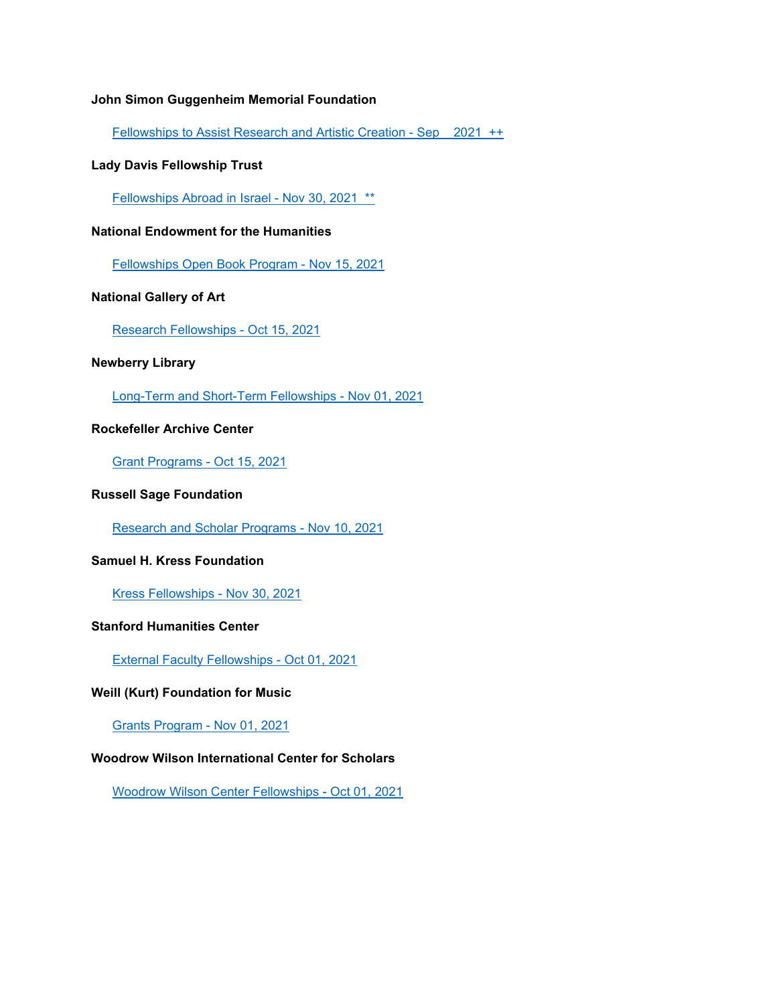#### **John Simon Guggenheim Memorial Foundation**

[Fellowships to Assist Research and Artistic Creation -](http://www.aascu.org/grc/gs/print.aspx?rec=89) Sep 2021 ++

#### **Lady Davis Fellowship Trust**

[Fellowships Abroad in Israel -](http://www.aascu.org/grc/gs/print.aspx?rec=982) Nov 30, 2021 \*\*

#### **National Endowment for the Humanities**

[Fellowships Open Book Program -](http://www.aascu.org/grc/gs/print.aspx?rec=3590) Nov 15, 2021

#### **National Gallery of Art**

[Research Fellowships -](http://www.aascu.org/grc/gs/print.aspx?rec=282) Oct 15, 2021

#### **Newberry Library**

[Long-Term and Short-Term Fellowships -](http://www.aascu.org/grc/gs/print.aspx?rec=879) Nov 01, 2021

#### **Rockefeller Archive Center**

[Grant Programs -](http://www.aascu.org/grc/gs/print.aspx?rec=1909) Oct 15, 2021

#### **Russell Sage Foundation**

[Research and Scholar Programs -](http://www.aascu.org/grc/gs/print.aspx?rec=410) Nov 10, 2021

#### **Samuel H. Kress Foundation**

[Kress Fellowships -](http://www.aascu.org/grc/gs/print.aspx?rec=1577) Nov 30, 2021

#### **Stanford Humanities Center**

[External Faculty Fellowships -](http://www.aascu.org/grc/gs/print.aspx?rec=259) Oct 01, 2021

#### **Weill (Kurt) Foundation for Music**

[Grants Program -](http://www.aascu.org/grc/gs/print.aspx?rec=812) Nov 01, 2021

#### **Woodrow Wilson International Center for Scholars**

[Woodrow Wilson Center Fellowships -](http://www.aascu.org/grc/gs/print.aspx?rec=2036) Oct 01, 2021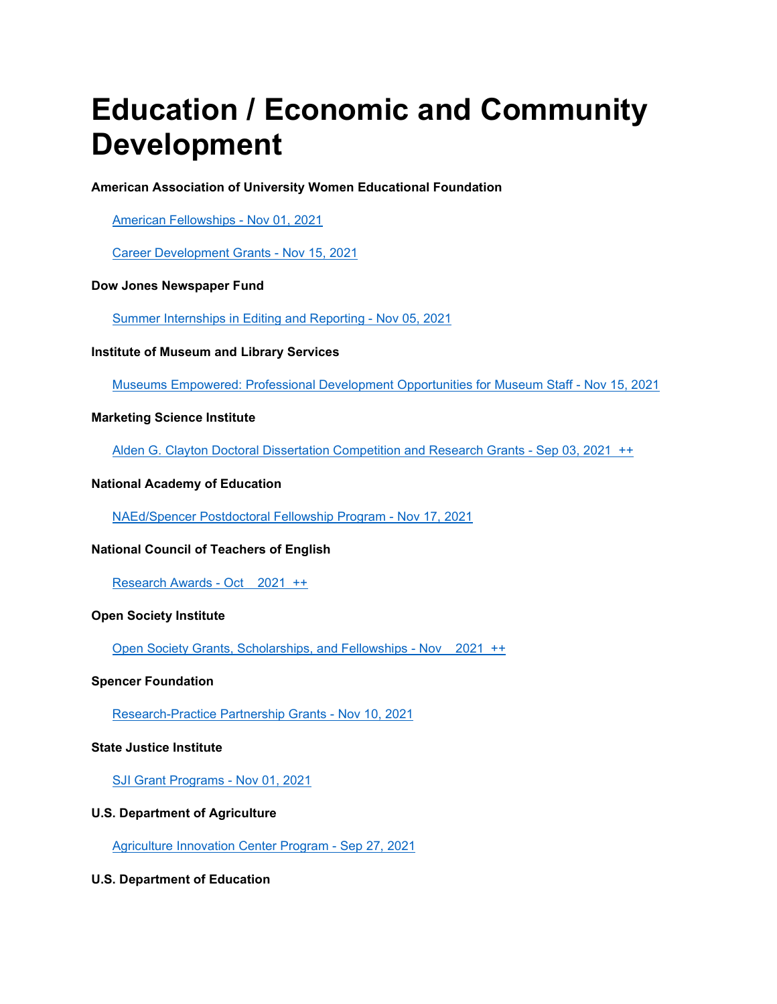### **Education / Economic and Community Development**

#### **American Association of University Women Educational Foundation**

[American Fellowships -](http://www.aascu.org/grc/gs/print.aspx?rec=256) Nov 01, 2021

[Career Development Grants -](http://www.aascu.org/grc/gs/print.aspx?rec=2199) Nov 15, 2021

#### **Dow Jones Newspaper Fund**

[Summer Internships in Editing and Reporting -](http://www.aascu.org/grc/gs/print.aspx?rec=1320) Nov 05, 2021

#### **Institute of Museum and Library Services**

[Museums Empowered: Professional Development Opportunities for Museum Staff -](http://www.aascu.org/grc/gs/print.aspx?rec=3552) Nov 15, 2021

#### **Marketing Science Institute**

[Alden G. Clayton Doctoral Dissertation Competition and Research Grants -](http://www.aascu.org/grc/gs/print.aspx?rec=787) Sep 03, 2021 ++

#### **National Academy of Education**

[NAEd/Spencer Postdoctoral Fellowship Program -](http://www.aascu.org/grc/gs/print.aspx?rec=408) Nov 17, 2021

#### **National Council of Teachers of English**

[Research Awards -](http://www.aascu.org/grc/gs/print.aspx?rec=320) Oct 2021 ++

#### **Open Society Institute**

[Open Society Grants, Scholarships, and Fellowships -](http://www.aascu.org/grc/gs/print.aspx?rec=1260) Nov 2021 ++

#### **Spencer Foundation**

[Research-Practice Partnership Grants -](http://www.aascu.org/grc/gs/print.aspx?rec=2284) Nov 10, 2021

#### **State Justice Institute**

[SJI Grant Programs -](http://www.aascu.org/grc/gs/print.aspx?rec=431) Nov 01, 2021

#### **U.S. Department of Agriculture**

[Agriculture Innovation Center Program -](http://www.aascu.org/grc/gs/print.aspx?rec=3777) Sep 27, 2021

#### **U.S. Department of Education**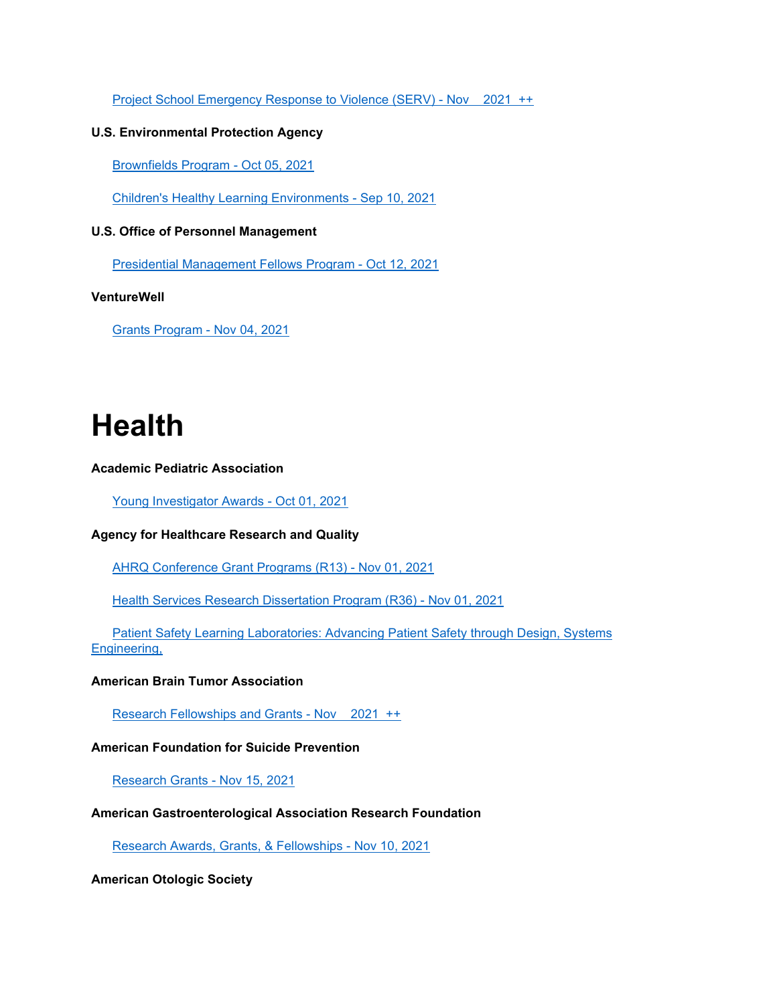[Project School Emergency Response to Violence \(SERV\) -](http://www.aascu.org/grc/gs/print.aspx?rec=2511) Nov 2021 ++

#### **U.S. Environmental Protection Agency**

[Brownfields Program -](http://www.aascu.org/grc/gs/print.aspx?rec=3496) Oct 05, 2021

[Children's Healthy Learning Environments -](http://www.aascu.org/grc/gs/print.aspx?rec=3616) Sep 10, 2021

#### **U.S. Office of Personnel Management**

[Presidential Management Fellows Program -](http://www.aascu.org/grc/gs/print.aspx?rec=1077) Oct 12, 2021

#### **VentureWell**

[Grants Program -](http://www.aascu.org/grc/gs/print.aspx?rec=874) Nov 04, 2021

### **Health**

#### **Academic Pediatric Association**

[Young Investigator Awards -](http://www.aascu.org/grc/gs/print.aspx?rec=2736) Oct 01, 2021

#### **Agency for Healthcare Research and Quality**

[AHRQ Conference Grant Programs \(R13\) -](http://www.aascu.org/grc/gs/print.aspx?rec=745) Nov 01, 2021

[Health Services Research Dissertation Program \(R36\) -](http://www.aascu.org/grc/gs/print.aspx?rec=405) Nov 01, 2021

 [Patient Safety Learning Laboratories: Advancing Patient Safety through Design, Systems](http://www.aascu.org/grc/gs/print.aspx?rec=3774)  [Engineering,](http://www.aascu.org/grc/gs/print.aspx?rec=3774)

#### **American Brain Tumor Association**

[Research Fellowships and Grants -](http://www.aascu.org/grc/gs/print.aspx?rec=1011) Nov 2021 ++

#### **American Foundation for Suicide Prevention**

[Research Grants -](http://www.aascu.org/grc/gs/print.aspx?rec=758) Nov 15, 2021

#### **American Gastroenterological Association Research Foundation**

[Research Awards, Grants, & Fellowships -](http://www.aascu.org/grc/gs/print.aspx?rec=675) Nov 10, 2021

#### **American Otologic Society**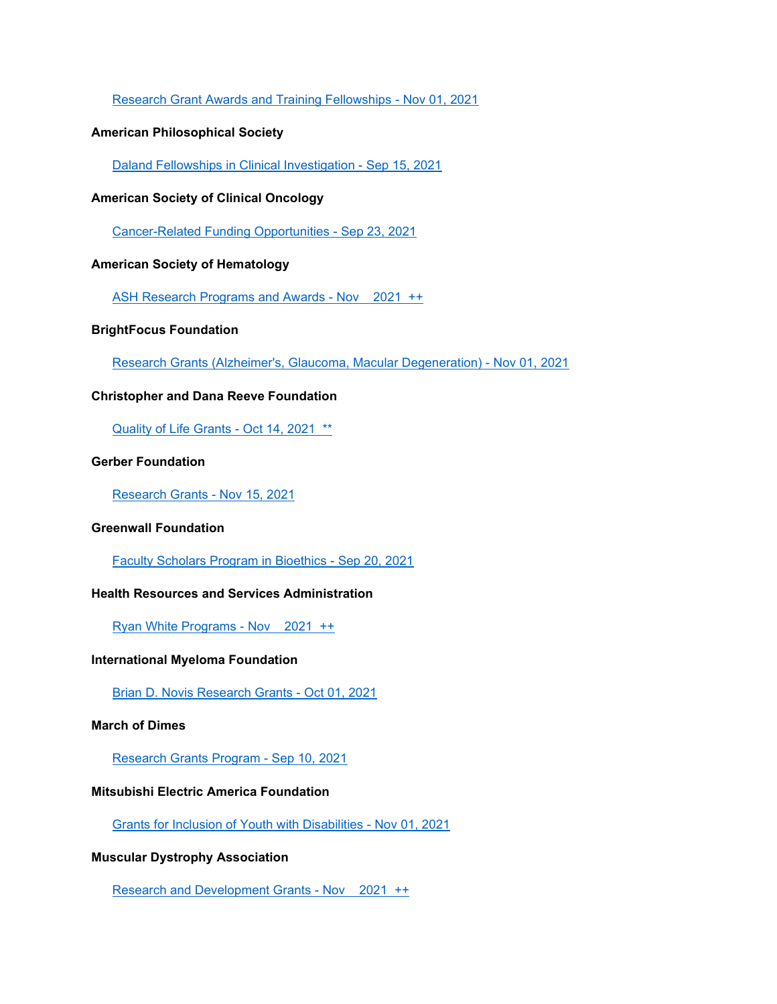#### [Research Grant Awards and Training Fellowships -](http://www.aascu.org/grc/gs/print.aspx?rec=330) Nov 01, 2021

#### **American Philosophical Society**

[Daland Fellowships in Clinical Investigation -](http://www.aascu.org/grc/gs/print.aspx?rec=739) Sep 15, 2021

#### **American Society of Clinical Oncology**

[Cancer-Related Funding Opportunities -](http://www.aascu.org/grc/gs/print.aspx?rec=802) Sep 23, 2021

#### **American Society of Hematology**

[ASH Research Programs and Awards -](http://www.aascu.org/grc/gs/print.aspx?rec=3297) Nov 2021 ++

#### **BrightFocus Foundation**

[Research Grants \(Alzheimer's, Glaucoma, Macular Degeneration\) -](http://www.aascu.org/grc/gs/print.aspx?rec=634) Nov 01, 2021

#### **Christopher and Dana Reeve Foundation**

[Quality of Life Grants -](http://www.aascu.org/grc/gs/print.aspx?rec=1227) Oct 14, 2021 \*\*

#### **Gerber Foundation**

[Research Grants -](http://www.aascu.org/grc/gs/print.aspx?rec=1263) Nov 15, 2021

#### **Greenwall Foundation**

[Faculty Scholars Program in Bioethics -](http://www.aascu.org/grc/gs/print.aspx?rec=754) Sep 20, 2021

#### **Health Resources and Services Administration**

[Ryan White Programs -](http://www.aascu.org/grc/gs/print.aspx?rec=859) Nov 2021 ++

#### **International Myeloma Foundation**

[Brian D. Novis Research Grants -](http://www.aascu.org/grc/gs/print.aspx?rec=1436) Oct 01, 2021

#### **March of Dimes**

[Research Grants Program -](http://www.aascu.org/grc/gs/print.aspx?rec=314) Sep 10, 2021

#### **Mitsubishi Electric America Foundation**

[Grants for Inclusion of Youth with Disabilities -](http://www.aascu.org/grc/gs/print.aspx?rec=898) Nov 01, 2021

#### **Muscular Dystrophy Association**

[Research and Development Grants -](http://www.aascu.org/grc/gs/print.aspx?rec=429) Nov 2021 ++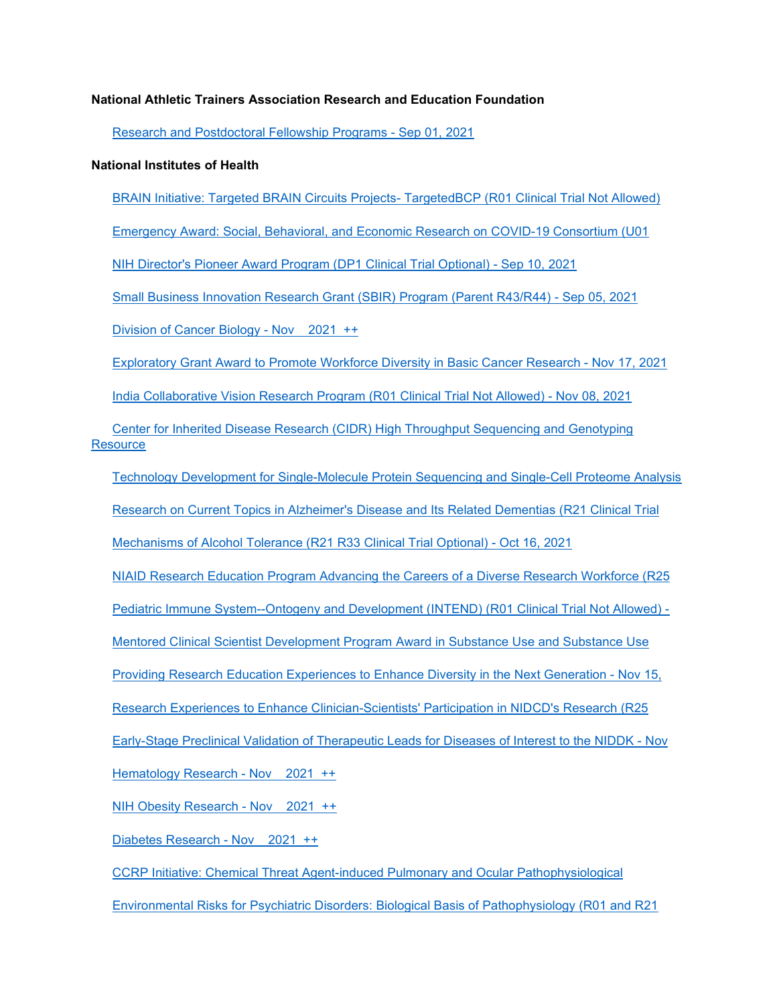#### **National Athletic Trainers Association Research and Education Foundation**

[Research and Postdoctoral Fellowship Programs -](http://www.aascu.org/grc/gs/print.aspx?rec=1702) Sep 01, 2021

#### **National Institutes of Health**

[BRAIN Initiative: Targeted BRAIN Circuits Projects-](http://www.aascu.org/grc/gs/print.aspx?rec=3790) TargetedBCP (R01 Clinical Trial Not Allowed)

[Emergency Award: Social, Behavioral, and Economic Research on COVID-19 Consortium \(U01](http://www.aascu.org/grc/gs/print.aspx?rec=3791)

[NIH Director's Pioneer Award Program \(DP1 Clinical Trial Optional\) -](http://www.aascu.org/grc/gs/print.aspx?rec=3792) Sep 10, 2021

[Small Business Innovation Research Grant \(SBIR\) Program \(Parent R43/R44\) -](http://www.aascu.org/grc/gs/print.aspx?rec=1052) Sep 05, 2021

[Division of Cancer Biology -](http://www.aascu.org/grc/gs/print.aspx?rec=53) Nov 2021 ++

[Exploratory Grant Award to Promote Workforce Diversity in Basic Cancer Research -](http://www.aascu.org/grc/gs/print.aspx?rec=3050) Nov 17, 2021

[India Collaborative Vision Research Program \(R01 Clinical Trial Not Allowed\) -](http://www.aascu.org/grc/gs/print.aspx?rec=3773) Nov 08, 2021

 [Center for Inherited Disease Research \(CIDR\) High Throughput Sequencing and Genotyping](http://www.aascu.org/grc/gs/print.aspx?rec=3652)  **[Resource](http://www.aascu.org/grc/gs/print.aspx?rec=3652)** 

[Technology Development for Single-Molecule Protein Sequencing and Single-Cell Proteome Analysis](http://www.aascu.org/grc/gs/print.aspx?rec=3788)

[Research on Current Topics in Alzheimer's Disease and Its Related Dementias \(R21 Clinical Trial](http://www.aascu.org/grc/gs/print.aspx?rec=3489)

[Mechanisms of Alcohol Tolerance \(R21 R33 Clinical Trial Optional\) -](http://www.aascu.org/grc/gs/print.aspx?rec=3770) Oct 16, 2021

[NIAID Research Education Program Advancing the Careers of a Diverse Research Workforce \(R25](http://www.aascu.org/grc/gs/print.aspx?rec=3812)

[Pediatric Immune System--Ontogeny and Development \(INTEND\) \(R01 Clinical Trial Not Allowed\) -](http://www.aascu.org/grc/gs/print.aspx?rec=3787)

[Mentored Clinical Scientist Development Program Award in Substance Use and Substance Use](http://www.aascu.org/grc/gs/print.aspx?rec=3101)

[Providing Research Education Experiences to Enhance Diversity in the Next Generation -](http://www.aascu.org/grc/gs/print.aspx?rec=3524) Nov 15,

[Research Experiences to Enhance Clinician-Scientists' Participation in NIDCD's Research \(R25](http://www.aascu.org/grc/gs/print.aspx?rec=3794)

[Early-Stage Preclinical Validation of Therapeutic Leads for Diseases of Interest to the NIDDK -](http://www.aascu.org/grc/gs/print.aspx?rec=3532) Nov

[Hematology Research -](http://www.aascu.org/grc/gs/print.aspx?rec=70) Nov 2021 ++

[NIH Obesity Research -](http://www.aascu.org/grc/gs/print.aspx?rec=2066) Nov 2021 ++

[Diabetes Research -](http://www.aascu.org/grc/gs/print.aspx?rec=67) Nov 2021 ++

[CCRP Initiative: Chemical Threat Agent-induced Pulmonary and Ocular Pathophysiological](http://www.aascu.org/grc/gs/print.aspx?rec=3772)

[Environmental Risks for Psychiatric Disorders: Biological Basis of Pathophysiology \(R01 and R21](http://www.aascu.org/grc/gs/print.aspx?rec=3562)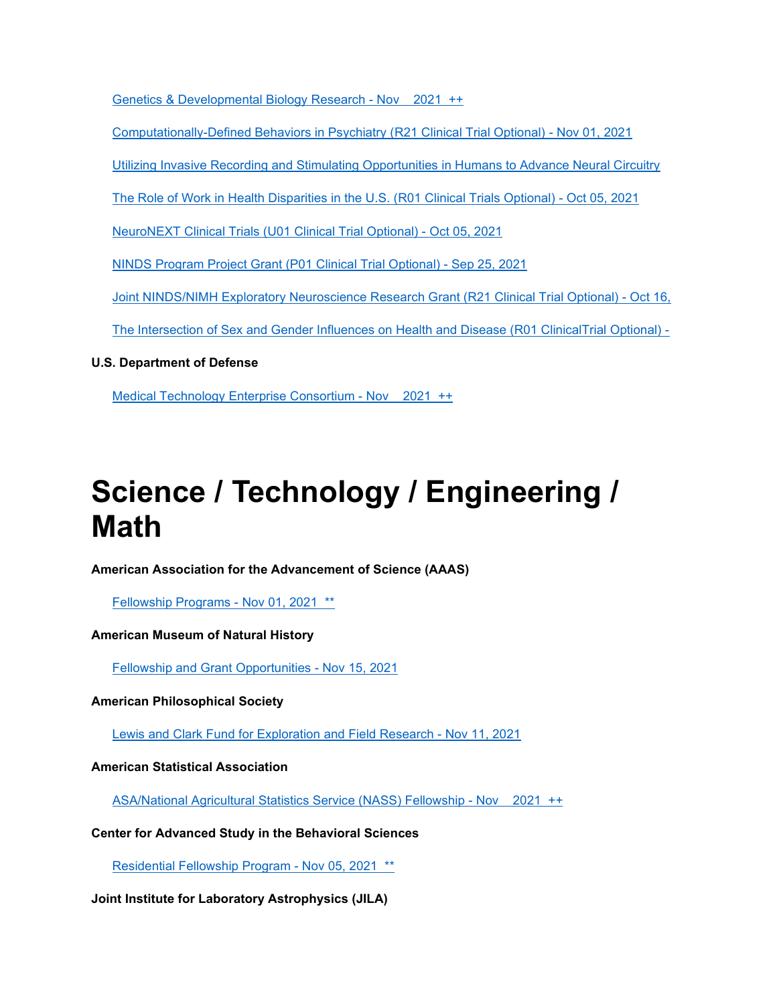[Genetics & Developmental Biology Research -](http://www.aascu.org/grc/gs/print.aspx?rec=82) Nov 2021 ++

[Computationally-Defined Behaviors in Psychiatry \(R21 Clinical Trial Optional\) -](http://www.aascu.org/grc/gs/print.aspx?rec=3479) Nov 01, 2021

[Utilizing Invasive Recording and Stimulating Opportunities in Humans to Advance Neural Circuitry](http://www.aascu.org/grc/gs/print.aspx?rec=3817)

[The Role of Work in Health Disparities in the U.S. \(R01 Clinical Trials Optional\) -](http://www.aascu.org/grc/gs/print.aspx?rec=3776) Oct 05, 2021

[NeuroNEXT Clinical Trials \(U01 Clinical Trial Optional\) -](http://www.aascu.org/grc/gs/print.aspx?rec=3800) Oct 05, 2021

[NINDS Program Project Grant \(P01 Clinical Trial Optional\) -](http://www.aascu.org/grc/gs/print.aspx?rec=3793) Sep 25, 2021

[Joint NINDS/NIMH Exploratory Neuroscience Research Grant \(R21 Clinical Trial Optional\) -](http://www.aascu.org/grc/gs/print.aspx?rec=3806) Oct 16,

[The Intersection of Sex and Gender Influences on Health and Disease \(R01 ClinicalTrial Optional\) -](http://www.aascu.org/grc/gs/print.aspx?rec=3561)

#### **U.S. Department of Defense**

[Medical Technology Enterprise Consortium -](http://www.aascu.org/grc/gs/print.aspx?rec=3322) Nov 2021 ++

## **Science / Technology / Engineering / Math**

**American Association for the Advancement of Science (AAAS)**

[Fellowship Programs -](http://www.aascu.org/grc/gs/print.aspx?rec=1625) Nov 01, 2021 \*\*

#### **American Museum of Natural History**

[Fellowship and Grant Opportunities -](http://www.aascu.org/grc/gs/print.aspx?rec=322) Nov 15, 2021

#### **American Philosophical Society**

[Lewis and Clark Fund for Exploration and Field Research -](http://www.aascu.org/grc/gs/print.aspx?rec=1897) Nov 11, 2021

#### **American Statistical Association**

[ASA/National Agricultural Statistics Service \(NASS\) Fellowship -](http://www.aascu.org/grc/gs/print.aspx?rec=3035) Nov 2021 ++

#### **Center for Advanced Study in the Behavioral Sciences**

[Residential Fellowship Program -](http://www.aascu.org/grc/gs/print.aspx?rec=685) Nov 05, 2021 \*\*

#### **Joint Institute for Laboratory Astrophysics (JILA)**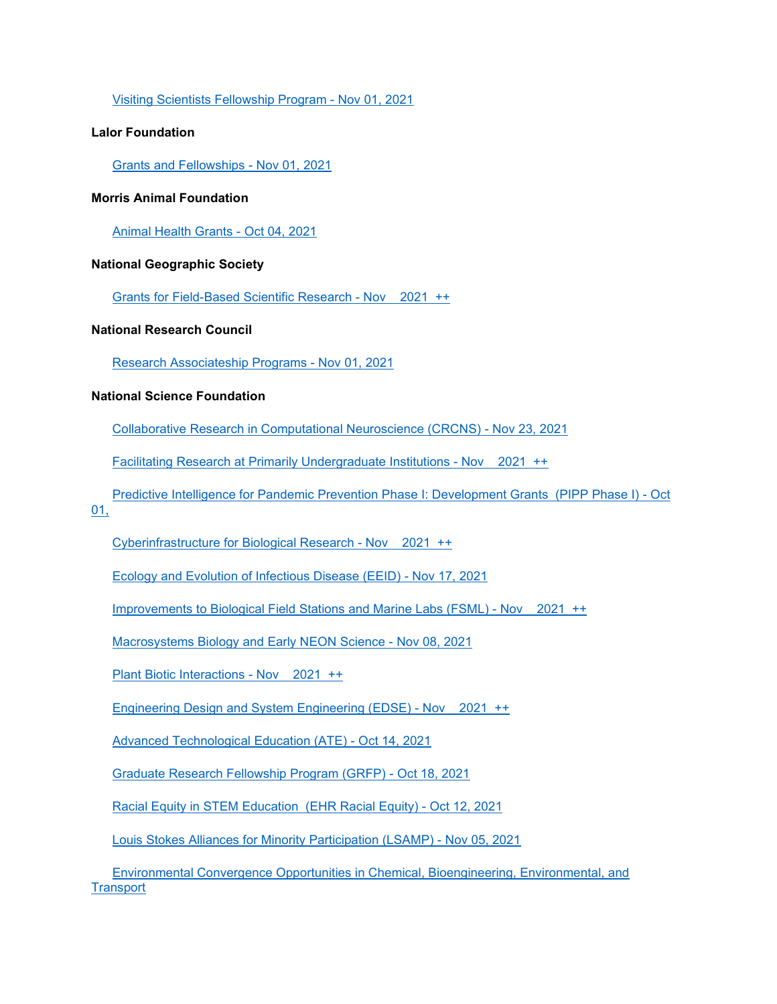[Visiting Scientists Fellowship Program -](http://www.aascu.org/grc/gs/print.aspx?rec=814) Nov 01, 2021

#### **Lalor Foundation**

[Grants and Fellowships -](http://www.aascu.org/grc/gs/print.aspx?rec=278) Nov 01, 2021

#### **Morris Animal Foundation**

[Animal Health Grants -](http://www.aascu.org/grc/gs/print.aspx?rec=1934) Oct 04, 2021

#### **National Geographic Society**

[Grants for Field-Based Scientific Research -](http://www.aascu.org/grc/gs/print.aspx?rec=303) Nov 2021 ++

#### **National Research Council**

[Research Associateship Programs -](http://www.aascu.org/grc/gs/print.aspx?rec=198) Nov 01, 2021

#### **National Science Foundation**

[Collaborative Research in Computational Neuroscience \(CRCNS\) -](http://www.aascu.org/grc/gs/print.aspx?rec=2210) Nov 23, 2021

[Facilitating Research at Primarily Undergraduate Institutions -](http://www.aascu.org/grc/gs/print.aspx?rec=91) Nov 2021 ++

[Predictive Intelligence for Pandemic Prevention Phase I: Development Grants](http://www.aascu.org/grc/gs/print.aspx?rec=3814) (PIPP Phase I) - Oct

[01,](http://www.aascu.org/grc/gs/print.aspx?rec=3814)

[Cyberinfrastructure for Biological Research -](http://www.aascu.org/grc/gs/print.aspx?rec=3436) Nov 2021 ++

[Ecology and Evolution of Infectious Disease \(EEID\) -](http://www.aascu.org/grc/gs/print.aspx?rec=2063) Nov 17, 2021

[Improvements to Biological Field Stations and Marine Labs \(FSML\) -](http://www.aascu.org/grc/gs/print.aspx?rec=611) Nov 2021 ++

[Macrosystems Biology and Early NEON Science -](http://www.aascu.org/grc/gs/print.aspx?rec=2688) Nov 08, 2021

[Plant Biotic Interactions -](http://www.aascu.org/grc/gs/print.aspx?rec=3330) Nov 2021 ++

[Engineering Design and System Engineering \(EDSE\) -](http://www.aascu.org/grc/gs/print.aspx?rec=3360) Nov 2021 ++

[Advanced Technological Education \(ATE\) -](http://www.aascu.org/grc/gs/print.aspx?rec=731) Oct 14, 2021

[Graduate Research Fellowship Program \(GRFP\) -](http://www.aascu.org/grc/gs/print.aspx?rec=266) Oct 18, 2021

[Racial Equity in STEM Education](http://www.aascu.org/grc/gs/print.aspx?rec=3795) (EHR Racial Equity) - Oct 12, 2021

[Louis Stokes Alliances for Minority Participation \(LSAMP\) -](http://www.aascu.org/grc/gs/print.aspx?rec=965) Nov 05, 2021

 [Environmental Convergence Opportunities in Chemical, Bioengineering, Environmental, and](http://www.aascu.org/grc/gs/print.aspx?rec=3778)  **[Transport](http://www.aascu.org/grc/gs/print.aspx?rec=3778)**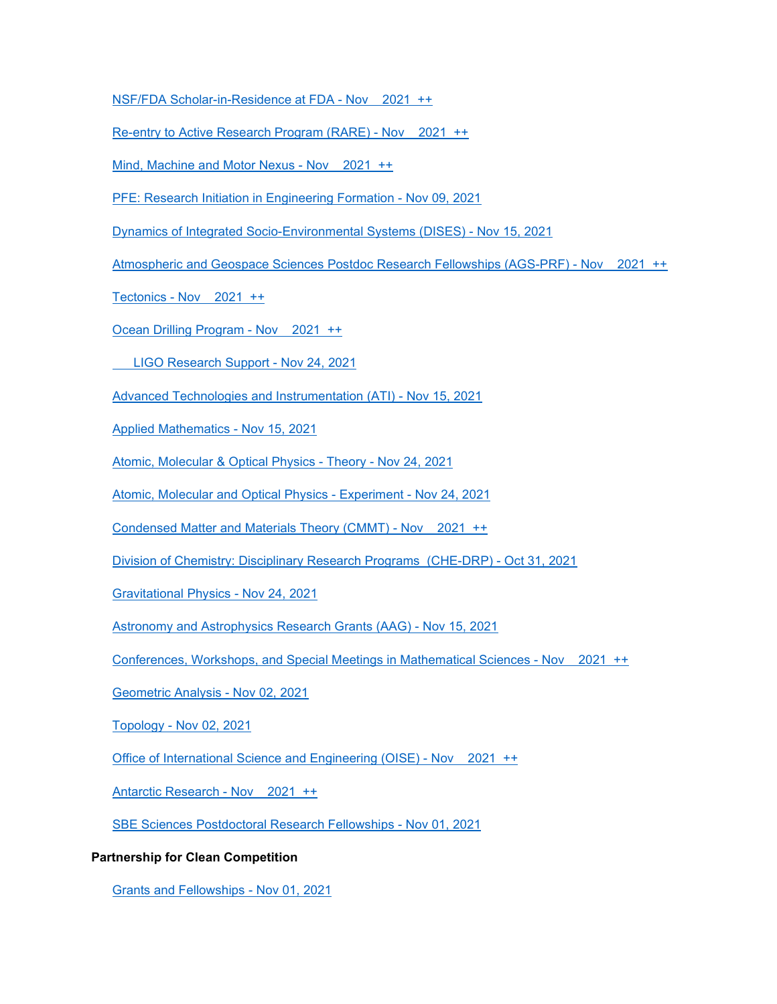[NSF/FDA Scholar-in-Residence at FDA -](http://www.aascu.org/grc/gs/print.aspx?rec=2582) Nov 2021 ++

[Re-entry to Active Research Program \(RARE\) -](http://www.aascu.org/grc/gs/print.aspx?rec=3374) Nov 2021 ++

[Mind, Machine and Motor Nexus -](http://www.aascu.org/grc/gs/print.aspx?rec=3320) Nov 2021 ++

[PFE: Research Initiation in Engineering Formation -](http://www.aascu.org/grc/gs/print.aspx?rec=2687) Nov 09, 2021

[Dynamics of Integrated Socio-Environmental Systems \(DISES\) -](http://www.aascu.org/grc/gs/print.aspx?rec=3491) Nov 15, 2021

[Atmospheric and Geospace Sciences Postdoc Research Fellowships \(AGS-PRF\) -](http://www.aascu.org/grc/gs/print.aspx?rec=2689) Nov 2021 ++

[Tectonics -](http://www.aascu.org/grc/gs/print.aspx?rec=533) Nov 2021 ++

[Ocean Drilling Program -](http://www.aascu.org/grc/gs/print.aspx?rec=92) Nov 2021 ++

[LIGO Research Support -](http://www.aascu.org/grc/gs/print.aspx?rec=3352) Nov 24, 2021

[Advanced Technologies and Instrumentation \(ATI\) -](http://www.aascu.org/grc/gs/print.aspx?rec=173) Nov 15, 2021

[Applied Mathematics -](http://www.aascu.org/grc/gs/print.aspx?rec=160) Nov 15, 2021

[Atomic, Molecular & Optical Physics -](http://www.aascu.org/grc/gs/print.aspx?rec=3351) Theory - Nov 24, 2021

[Atomic, Molecular and Optical Physics -](http://www.aascu.org/grc/gs/print.aspx?rec=3350) Experiment - Nov 24, 2021

[Condensed Matter and Materials Theory \(CMMT\) -](http://www.aascu.org/grc/gs/print.aspx?rec=3280) Nov 2021 ++

[Division of Chemistry: Disciplinary Research Programs](http://www.aascu.org/grc/gs/print.aspx?rec=3813) (CHE-DRP) - Oct 31, 2021

[Gravitational Physics -](http://www.aascu.org/grc/gs/print.aspx?rec=3270) Nov 24, 2021

[Astronomy and Astrophysics Research Grants \(AAG\) -](http://www.aascu.org/grc/gs/print.aspx?rec=181) Nov 15, 2021

[Conferences, Workshops, and Special Meetings in Mathematical Sciences -](http://www.aascu.org/grc/gs/print.aspx?rec=1795) Nov 2021 ++

[Geometric Analysis -](http://www.aascu.org/grc/gs/print.aspx?rec=162) Nov 02, 2021

Topology - [Nov 02, 2021](http://www.aascu.org/grc/gs/print.aspx?rec=165)

[Office of International Science and Engineering \(OISE\) -](http://www.aascu.org/grc/gs/print.aspx?rec=171) Nov 2021 ++

[Antarctic Research -](http://www.aascu.org/grc/gs/print.aspx?rec=108) Nov 2021 ++

[SBE Sciences Postdoctoral Research Fellowships -](http://www.aascu.org/grc/gs/print.aspx?rec=3007) Nov 01, 2021

#### **Partnership for Clean Competition**

[Grants and Fellowships -](http://www.aascu.org/grc/gs/print.aspx?rec=3276) Nov 01, 2021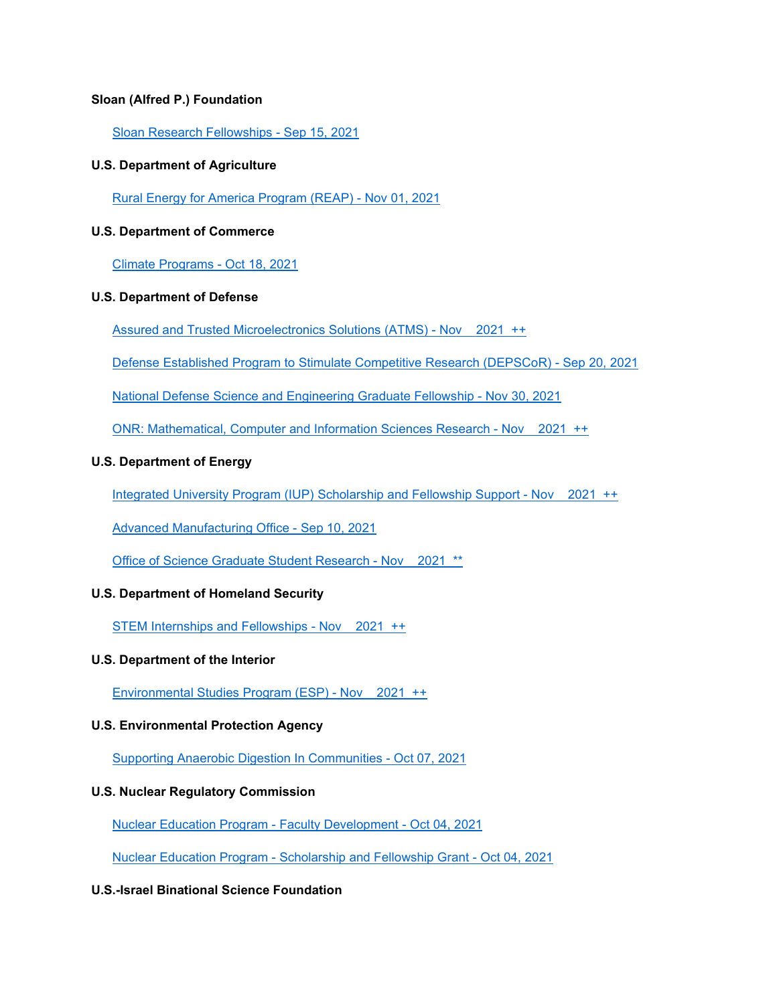#### **Sloan (Alfred P.) Foundation**

[Sloan Research Fellowships -](http://www.aascu.org/grc/gs/print.aspx?rec=101) Sep 15, 2021

#### **U.S. Department of Agriculture**

[Rural Energy for America Program \(REAP\) -](http://www.aascu.org/grc/gs/print.aspx?rec=3303) Nov 01, 2021

#### **U.S. Department of Commerce**

[Climate Programs -](http://www.aascu.org/grc/gs/print.aspx?rec=1213) Oct 18, 2021

#### **U.S. Department of Defense**

[Assured and Trusted Microelectronics Solutions \(ATMS\) -](http://www.aascu.org/grc/gs/print.aspx?rec=3371) Nov 2021 ++

[Defense Established Program to Stimulate Competitive Research \(DEPSCoR\) -](http://www.aascu.org/grc/gs/print.aspx?rec=3807) Sep 20, 2021

[National Defense Science and Engineering Graduate Fellowship -](http://www.aascu.org/grc/gs/print.aspx?rec=1094) Nov 30, 2021

[ONR: Mathematical, Computer and Information Sciences Research -](http://www.aascu.org/grc/gs/print.aspx?rec=203) Nov 2021 ++

#### **U.S. Department of Energy**

[Integrated University Program \(IUP\) Scholarship and Fellowship Support -](http://www.aascu.org/grc/gs/print.aspx?rec=3218) Nov 2021 ++

[Advanced Manufacturing Office -](http://www.aascu.org/grc/gs/print.aspx?rec=3639) Sep 10, 2021

[Office of Science Graduate Student Research -](http://www.aascu.org/grc/gs/print.aspx?rec=2522) Nov 2021 \*\*

#### **U.S. Department of Homeland Security**

[STEM Internships and Fellowships -](http://www.aascu.org/grc/gs/print.aspx?rec=2196) Nov 2021 ++

#### **U.S. Department of the Interior**

[Environmental Studies Program \(ESP\) -](http://www.aascu.org/grc/gs/print.aspx?rec=382) Nov 2021 ++

#### **U.S. Environmental Protection Agency**

[Supporting Anaerobic Digestion In Communities -](http://www.aascu.org/grc/gs/print.aspx?rec=3789) Oct 07, 2021

#### **U.S. Nuclear Regulatory Commission**

[Nuclear Education Program -](http://www.aascu.org/grc/gs/print.aspx?rec=2527) Faculty Development - Oct 04, 2021

Nuclear Education Program - [Scholarship and Fellowship Grant -](http://www.aascu.org/grc/gs/print.aspx?rec=2528) Oct 04, 2021

#### **U.S.-Israel Binational Science Foundation**